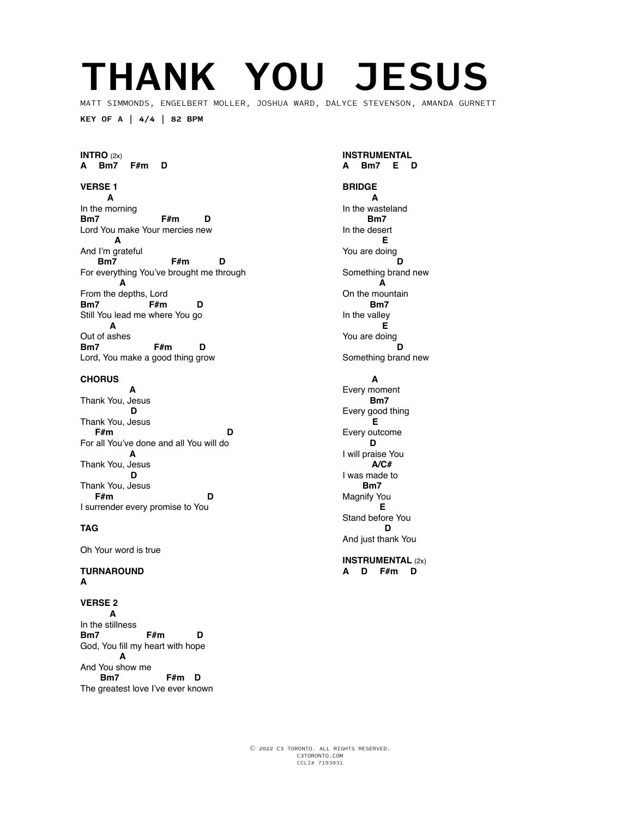## **THANK YOU JESUS**

MATT SIMMONDS, ENGELBERT MOLLER, JOSHUA WARD, DALYCE STEVENSON, AMANDA GURNETT

**KEY OF A | 4/4 | 82 BPM**

#### **INTRO** (2x) **A Bm7 F#m D**

## **VERSE 1**

 **A** In the morning<br>Bm7 **Bm7 F#m D** Lord You make Your mercies new  **A** And I'm grateful  **Bm7 F#m D** For everything You've brought me through  **A** From the depths, Lord<br>**Bm7** F#m **Bm7 F#m D** Still You lead me where You go  **A** Out of ashes<br>**Bm7 Bm7 F#m D** Lord, You make a good thing grow

#### **CHORUS**

 **A**  Thank You, Jesus  **D**  Thank You, Jesus<br>F#m  **F#m D** For all You've done and all You will do  **A**  Thank You, Jesus  **D**  Thank You, Jesus  **F#m D** I surrender every promise to You

#### **TAG**

Oh Your word is true

#### **TURNAROUND A**

**VERSE 2 A** In the stillness<br>Bm7 **Bm7 F#m D** God, You fill my heart with hope  **A** And You show me<br>**Bm7 F#m D** The greatest love I've ever known **INSTRUMENTAL A Bm7 E D**

## **BRIDGE**

 **A**  In the wasteland  **Bm7**  In the desert  **E**  You are doing<br>D  **D** Something brand new  **A**  On the mountain  **Bm7**  In the valley  **E**  You are doing<br>D  **D** Something brand new

#### **A**

Every moment  **Bm7**  Every good thing  **E**  Every outcome  **D** I will praise You  **A/C#**  I was made to  **Bm7**  Magnify You  **E**  Stand before You  **D** And just thank You

#### **INSTRUMENTAL** (2x) **A D F#m D**

Ⓒ 2022 C3 TORONTO. ALL RIGHTS RESERVED. C3TORONTO.COM CCLI# 7193931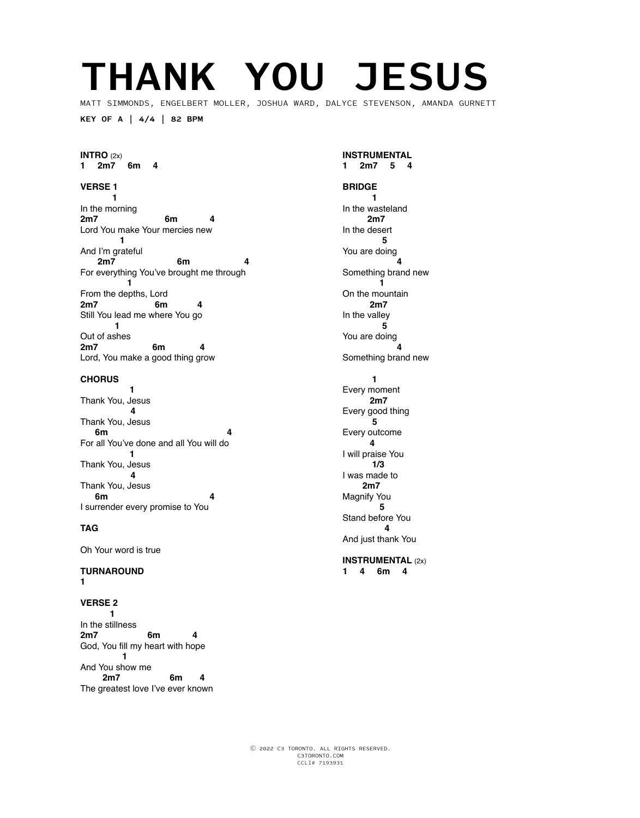## **THANK YOU JESUS**

MATT SIMMONDS, ENGELBERT MOLLER, JOSHUA WARD, DALYCE STEVENSON, AMANDA GURNETT

**KEY OF A | 4/4 | 82 BPM**

#### **INTRO** (2x) **1 2m7 6m 4**

## **VERSE 1**

 **1** In the morning<br>2m7 **2m7 6m 4** Lord You make Your mercies new  **1** And I'm grateful<br>2m7  **2m7 6m 4** For everything You've brought me through  **1** From the depths, Lord **2m7 6m 4** Still You lead me where You go  **1** Out of ashes **2m7 6m 4** Lord, You make a good thing grow

#### **CHORUS**

**1** Thank You, Jesus  **4**  Thank You, Jesus **6m** 4 For all You've done and all You will do  **1**  Thank You, Jesus  **4**  Thank You, Jesus<br>6m  **6m 4** I surrender every promise to You

#### **TAG**

Oh Your word is true

#### **TURNAROUND 1**

**VERSE 2 1** In the stillness<br>2m7 **2m7 6m 4** God, You fill my heart with hope  **1** And You show me  **2m7 6m 4** The greatest love I've ever known **INSTRUMENTAL 1 2m7 5 4**

#### **BRIDGE 1**

In the wasteland  **2m7**  In the desert  **5**  You are doing  **4** Something brand new  **1**  On the mountain  **2m7**  In the valley  **5**  You are doing  **4** Something brand new  **1**  Every moment  **2m7**  Every good thing  **5**  Every outcome  **4** I will praise You  **1/3**  I was made to  **2m7**  Magnify You  **5**  Stand before You  **4** And just thank You

#### **INSTRUMENTAL** (2x) **1 4 6m 4**

Ⓒ 2022 C3 TORONTO. ALL RIGHTS RESERVED. C3TORONTO.COM CCLI# 7193931